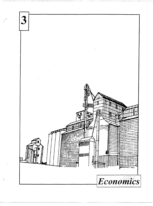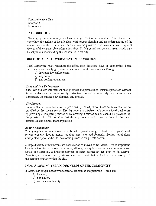# **Comprehensive Plan Chapter 3 Economics**

### **INTRODUCTION**

Planning by the community can have a large effect on economics. This chapter will cover how the actions of local leaders, with proper planning and an understanding of the unique needs of the community, can facilitate the growth of future economics. Graphs at the end of the chapter give information about St. Marys and surrounding areas which may be helpful in understanding the economics in the city.

#### **ROLE OF LOCAL GOVERNMENT IN ECONOMICS**

Local authorities must recognize the effect their decisions have on economics. Three important ways the city government can impact local economics are through:

- 1) laws and law enforcement,
- 2) city services,
- 3) and zoning regulations.

#### *Laws and Law Enforcement*

City laws and law enforcement must promote and protect legal business practices without being burdensome or unnecessarily restrictive. A safe and orderly city promotes an atmosphere for business development and growth.

#### *City Services*

 $)$ 

 $\left\{ \right\}$ 

Services that are essential must be provided by the city when those services can not be provided by the private sector. The city must not interfere with current local businesses by providing a competing service or by offering a service which should be provided by the private sector. The services that the city does provide must be done in the most economical and helpful manner possible.

#### *Zoning Regulations*

Zoning regulations must allow for the broadest possible range of land use. Regulation of private property through zoning requires great care and foresight. Zoning regulations must protect opportunities for economic growth in the private sector.

A large diversity of businesses has been started or moved to St. Marys. This is important for city authorities to recognize because, although many businesses in a community are typical and essential, a limitless number of other businesses can exist in St. Marys. Therefore, a business friendly atmosphere must exist that will allow for a variety of businesses to operate within the city.

### **UNDERSTANDING THE UNIQUE NEEDS OF THE COMMUNITY**

St. Marys has unique needs with regard to economics and planning. These are:

- 1) location,
- 2) population,
- 3) and land availability.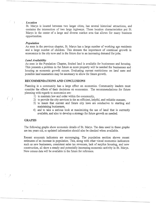## *Location*

 $\lambda$ 

St. Marys is located between two larger cities, has several historical attractions, and contains the intersection of two large highways. These location characteristics put St. Marys in the center of a large and diverse market area that allows for many business opportunities.

## *Population*

As seen in the previous chapter, St. Marys has a large number of working age residents and a large number of children. This stresses the importance of continual growth in economics in the city now and in the future due to an increasing demand for jobs.

### *Land Availability*

As seen in the Population Chapter, limited land is available for businesses and housing. This presents a problem in the future as more property will be needed for businesses and housing as economic growth occurs. Evaluating current restrictions on land uses and possible land annexation may be necessary to allow for future growth.

# **RECOMMENDATIONS AND CONCLUSIONS**

Planning in a community has a large effect on economics. Community leaders must consider the effects of their decisions oh economics. The recommendations for future planning with regards to economics are:

- 1) to maintain law and order within the community,
- 2) to provide the city services in the an efficient, helpful, and reliable manner,
- 3) to insure that current and future city laws are conducive to starting and maintaining businesses,
- 4) and to take a serious look at maximizing the use of land that is currently available, and also to develop a strategy for future growth as needed.

# **GRAPHS**

The following graphs show economic details of St. Marys. The data used in these graphs are ten years old, so updated information should also be checked when available.

Recent economic indicators are encouraging. The population section shows recent estimates of an increase in population. This, along with other visual economic indicators such as new businesses, consistent sales tax revenues, lack of surplus housing, and new construction, all show a steady and potentially increasing economic activity in St. Marys. New census data will be available in the future for reference.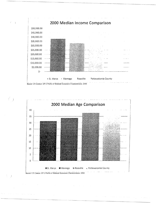



 $\left(\begin{array}{c} \end{array}\right)$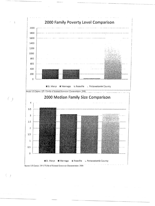

 $\left(\begin{array}{c} 0 \end{array}\right)$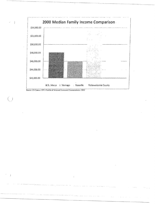

Source: US Census: DP-3 Profile of Selected Economic Characteristics: 2000